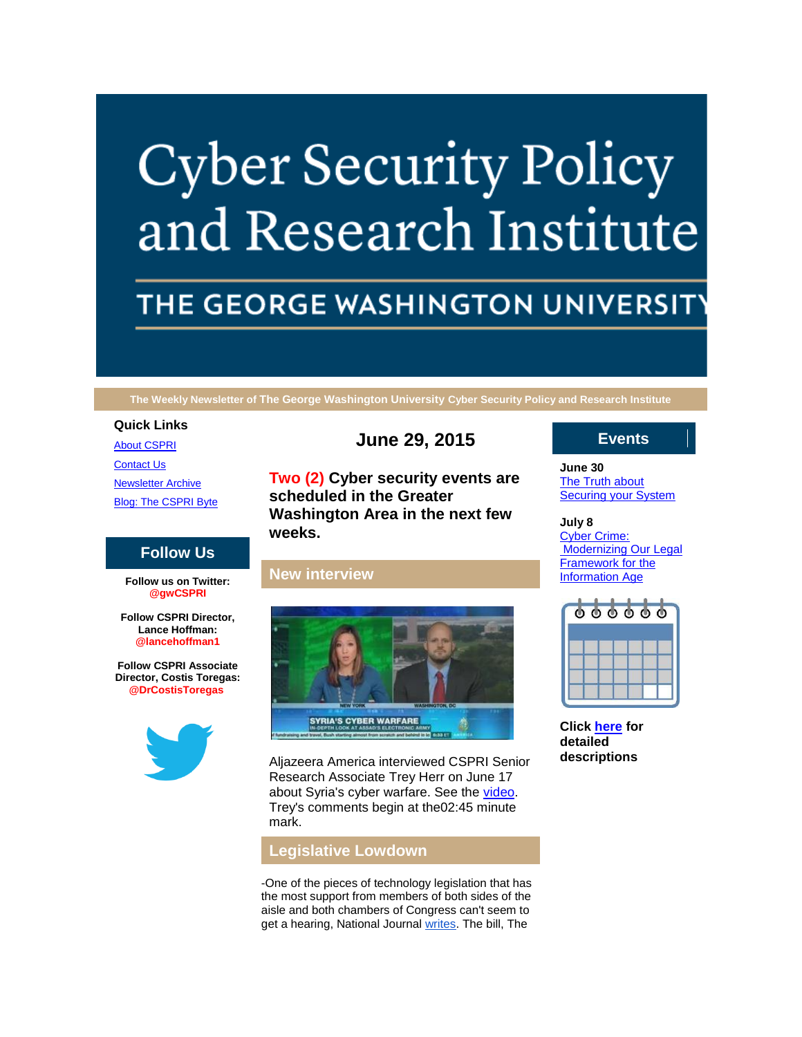# **Cyber Security Policy** and Research Institute

# THE GEORGE WASHINGTON UNIVERSIT

**The Weekly Newsletter of The George Washington University Cyber Security Policy and Research Institute**

#### **Quick Links**

[About CSPRI](http://r20.rs6.net/tn.jsp?f=001_xulX4I5FWICGQnrvV6iNS6UYrdRjpu4g1MXTfj1Bl1bb26uRdCFeHlskp5whmIa_1yv61KBqRQOJr9WQRpF-SUkfV6zxGJaOLs5hAT2sicmq_pc1V6BVHhlK97uoe9_WCMqX_iZYw-bfYT7N_eRpycwrtTLZN702BbjqWH7VL0oTKc9VfTHi7phGtxB1Y3o&c=bd2wkHS1IMLZLOsaI04ZUK3ho3_BqV5f40fx3l-z_zW-H8miyjY7rw==&ch=n0QjvWH98HEQzeq4lisirnA8OzUGEjfDpC7ygYNS39Bk8GxnDKwllg==) **[Contact Us](http://r20.rs6.net/tn.jsp?f=001_xulX4I5FWICGQnrvV6iNS6UYrdRjpu4g1MXTfj1Bl1bb26uRdCFeHlskp5whmIaoBlX_27kqzvzwR4mNxKvb_p3QCS2ldY95hlMrjXRaGQlKgbMuXEITXVK0nSNZKBaDEBk-zBF3ylFnBMH1I8dxztRDbPmAywxK8OAdtIH1zwQ_G31v1xqTopJ2ZBc-dPMTGAcVFjcaT0=&c=bd2wkHS1IMLZLOsaI04ZUK3ho3_BqV5f40fx3l-z_zW-H8miyjY7rw==&ch=n0QjvWH98HEQzeq4lisirnA8OzUGEjfDpC7ygYNS39Bk8GxnDKwllg==)** [Newsletter Archive](http://r20.rs6.net/tn.jsp?f=001_xulX4I5FWICGQnrvV6iNS6UYrdRjpu4g1MXTfj1Bl1bb26uRdCFeHlskp5whmIaeex3KYZLOn-Q-b0B3KD5aVPwq4ZmJOQNwllfM9rIWR3GZb_99OrHnQun7giguc2T-7yTaX8OgBgBqWICZDYd9_BoPmm7OgQ7glmwZTABCvMXTcx4PTsadD5drSMMepgCooU3ER78M2k=&c=bd2wkHS1IMLZLOsaI04ZUK3ho3_BqV5f40fx3l-z_zW-H8miyjY7rw==&ch=n0QjvWH98HEQzeq4lisirnA8OzUGEjfDpC7ygYNS39Bk8GxnDKwllg==) [Blog: The CSPRI Byte](http://r20.rs6.net/tn.jsp?f=001_xulX4I5FWICGQnrvV6iNS6UYrdRjpu4g1MXTfj1Bl1bb26uRdCFeHlskp5whmIaxNXkCzHIvJm3Cp0yGSbykImDzgcmzz0MGr-RIjiTG0sJT0RhfVvUeUNhlP4-BmmA_0Qigs74gXvzAtH9eyb2kA4-PlPL04YXQV3sSLkAHGRULJmzrGswFC432wmKZqKE&c=bd2wkHS1IMLZLOsaI04ZUK3ho3_BqV5f40fx3l-z_zW-H8miyjY7rw==&ch=n0QjvWH98HEQzeq4lisirnA8OzUGEjfDpC7ygYNS39Bk8GxnDKwllg==)

# **Follow Us**

**Follow us on Twitter: @gwCSPRI**

**Follow CSPRI Director, Lance Hoffman: @lancehoffman1**

**Follow CSPRI Associate Director, Costis Toregas: @DrCostisToregas**



# **June 29, 2015**

**Two (2) Cyber security events are scheduled in the Greater Washington Area in the next few weeks.**

### **New interview**



Aljazeera America interviewed CSPRI Senior Research Associate Trey Herr on June 17 about Syria's cyber warfare. See the [video.](http://r20.rs6.net/tn.jsp?f=001_xulX4I5FWICGQnrvV6iNS6UYrdRjpu4g1MXTfj1Bl1bb26uRdCFeF5F_Vd1eZdtamdIzCtp_Vjj5-Nmc3qs_SwQnMXUST8Gdc_UoUfDo3pDCEhqXQagVtgzWo5uM-hHinWFSwVB0cNSDgLxKfyk4NRwlryivxkE1cNA3wbrGvnZlrGfD4pgOWgqyFs9Pi2Hpa2pD1tc26Z5K7MJPoXzKLjCMtqctpNjRUJ2nAxdwwPmU7q-P_kBhULQghAVzQdzXy07MzjGnVZSLHu3z9JGvy6R8JY_isDOY-FLct53imk=&c=bd2wkHS1IMLZLOsaI04ZUK3ho3_BqV5f40fx3l-z_zW-H8miyjY7rw==&ch=n0QjvWH98HEQzeq4lisirnA8OzUGEjfDpC7ygYNS39Bk8GxnDKwllg==) Trey's comments begin at the02:45 minute mark.

# **Legislative Lowdown**

-One of the pieces of technology legislation that has the most support from members of both sides of the aisle and both chambers of Congress can't seem to get a hearing, National Journal [writes.](http://r20.rs6.net/tn.jsp?f=001_xulX4I5FWICGQnrvV6iNS6UYrdRjpu4g1MXTfj1Bl1bb26uRdCFeF5F_Vd1eZdtb9sJ1TZlvHfRXzxzDs6-kFzyDTf_IkTImXgyLAWCqATL4pwcXnT_9xYwKesMUuAs9LwH6znYrE1BBlJ7WIfDHBbQcJFalbANiQBD6W16mHub_IZBdq0By9hb9SP8FUFp0hiwcg8FxCghPad2zXGs6FXdTQL0aOIsYmV_lVQDP4xFP0lBa0EjYbuyDUOMBZwJMCU3vUmaBsjiuUBlztvggg==&c=bd2wkHS1IMLZLOsaI04ZUK3ho3_BqV5f40fx3l-z_zW-H8miyjY7rw==&ch=n0QjvWH98HEQzeq4lisirnA8OzUGEjfDpC7ygYNS39Bk8GxnDKwllg==) The bill, The

#### **Events**

**June 30** [The Truth about](http://r20.rs6.net/tn.jsp?f=001_xulX4I5FWICGQnrvV6iNS6UYrdRjpu4g1MXTfj1Bl1bb26uRdCFeJn3SlNSOqHvmh5DKfka2P4MQ1NIMSDVF-Frq0FFoYdmIQzErIx3OQU2D9-A0mORTfAk1awOP7Fu3EMhrfD6B3fazTHVAMLiWcX4DC1ZaFPEZ8j6XZ581emCGq2PPcjWNfOM-d3SF5E_OOtEogY4iVk=&c=bd2wkHS1IMLZLOsaI04ZUK3ho3_BqV5f40fx3l-z_zW-H8miyjY7rw==&ch=n0QjvWH98HEQzeq4lisirnA8OzUGEjfDpC7ygYNS39Bk8GxnDKwllg==)  **[Securing your System](http://r20.rs6.net/tn.jsp?f=001_xulX4I5FWICGQnrvV6iNS6UYrdRjpu4g1MXTfj1Bl1bb26uRdCFeJn3SlNSOqHvmh5DKfka2P4MQ1NIMSDVF-Frq0FFoYdmIQzErIx3OQU2D9-A0mORTfAk1awOP7Fu3EMhrfD6B3fazTHVAMLiWcX4DC1ZaFPEZ8j6XZ581emCGq2PPcjWNfOM-d3SF5E_OOtEogY4iVk=&c=bd2wkHS1IMLZLOsaI04ZUK3ho3_BqV5f40fx3l-z_zW-H8miyjY7rw==&ch=n0QjvWH98HEQzeq4lisirnA8OzUGEjfDpC7ygYNS39Bk8GxnDKwllg==)** 

**July 8** [Cyber Crime:](http://r20.rs6.net/tn.jsp?f=001_xulX4I5FWICGQnrvV6iNS6UYrdRjpu4g1MXTfj1Bl1bb26uRdCFeJn3SlNSOqHvmh5DKfka2P4MQ1NIMSDVF-Frq0FFoYdmIQzErIx3OQU2D9-A0mORTfAk1awOP7Fu3EMhrfD6B3fazTHVAMLiWcX4DC1ZaFPEZ8j6XZ581emCGq2PPcjWNfOM-d3SF5E_OOtEogY4iVk=&c=bd2wkHS1IMLZLOsaI04ZUK3ho3_BqV5f40fx3l-z_zW-H8miyjY7rw==&ch=n0QjvWH98HEQzeq4lisirnA8OzUGEjfDpC7ygYNS39Bk8GxnDKwllg==)  [Modernizing Our Legal](http://r20.rs6.net/tn.jsp?f=001_xulX4I5FWICGQnrvV6iNS6UYrdRjpu4g1MXTfj1Bl1bb26uRdCFeJn3SlNSOqHvmh5DKfka2P4MQ1NIMSDVF-Frq0FFoYdmIQzErIx3OQU2D9-A0mORTfAk1awOP7Fu3EMhrfD6B3fazTHVAMLiWcX4DC1ZaFPEZ8j6XZ581emCGq2PPcjWNfOM-d3SF5E_OOtEogY4iVk=&c=bd2wkHS1IMLZLOsaI04ZUK3ho3_BqV5f40fx3l-z_zW-H8miyjY7rw==&ch=n0QjvWH98HEQzeq4lisirnA8OzUGEjfDpC7ygYNS39Bk8GxnDKwllg==)  [Framework for the](http://r20.rs6.net/tn.jsp?f=001_xulX4I5FWICGQnrvV6iNS6UYrdRjpu4g1MXTfj1Bl1bb26uRdCFeJn3SlNSOqHvmh5DKfka2P4MQ1NIMSDVF-Frq0FFoYdmIQzErIx3OQU2D9-A0mORTfAk1awOP7Fu3EMhrfD6B3fazTHVAMLiWcX4DC1ZaFPEZ8j6XZ581emCGq2PPcjWNfOM-d3SF5E_OOtEogY4iVk=&c=bd2wkHS1IMLZLOsaI04ZUK3ho3_BqV5f40fx3l-z_zW-H8miyjY7rw==&ch=n0QjvWH98HEQzeq4lisirnA8OzUGEjfDpC7ygYNS39Bk8GxnDKwllg==)  [Information Age](http://r20.rs6.net/tn.jsp?f=001_xulX4I5FWICGQnrvV6iNS6UYrdRjpu4g1MXTfj1Bl1bb26uRdCFeJn3SlNSOqHvmh5DKfka2P4MQ1NIMSDVF-Frq0FFoYdmIQzErIx3OQU2D9-A0mORTfAk1awOP7Fu3EMhrfD6B3fazTHVAMLiWcX4DC1ZaFPEZ8j6XZ581emCGq2PPcjWNfOM-d3SF5E_OOtEogY4iVk=&c=bd2wkHS1IMLZLOsaI04ZUK3ho3_BqV5f40fx3l-z_zW-H8miyjY7rw==&ch=n0QjvWH98HEQzeq4lisirnA8OzUGEjfDpC7ygYNS39Bk8GxnDKwllg==)



**Click [here](http://r20.rs6.net/tn.jsp?f=001_xulX4I5FWICGQnrvV6iNS6UYrdRjpu4g1MXTfj1Bl1bb26uRdCFeHlskp5whmIaGWl9bNHgv5vx3wCVzJg2-5n5mQ1YltkF1G0PqGpp7k4Fvq1u_Lx111a_OzrhkYstCADbd1tKr0ZQbbOu3rBBCyzQQJL4vhUWKhzGrRoT-JqvdvnDsU__khGqU9Z5YDHslhZEu7DbluZl8TlY9cgBug==&c=bd2wkHS1IMLZLOsaI04ZUK3ho3_BqV5f40fx3l-z_zW-H8miyjY7rw==&ch=n0QjvWH98HEQzeq4lisirnA8OzUGEjfDpC7ygYNS39Bk8GxnDKwllg==) for detailed descriptions**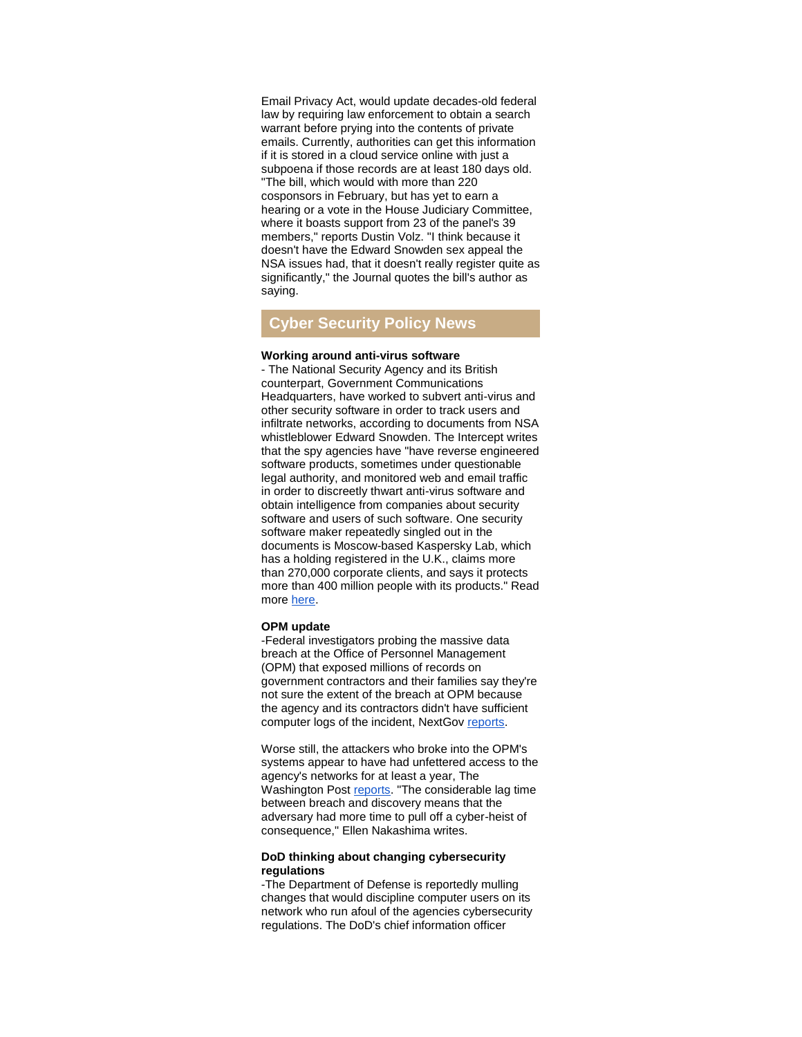Email Privacy Act, would update decades-old federal law by requiring law enforcement to obtain a search warrant before prying into the contents of private emails. Currently, authorities can get this information if it is stored in a cloud service online with just a subpoena if those records are at least 180 days old. "The bill, which would with more than 220 cosponsors in February, but has yet to earn a hearing or a vote in the House Judiciary Committee, where it boasts support from 23 of the panel's 39 members," reports Dustin Volz. "I think because it doesn't have the Edward Snowden sex appeal the NSA issues had, that it doesn't really register quite as significantly," the Journal quotes the bill's author as saying.

# **Cyber Security Policy News**

#### **Working around anti-virus software**

- The National Security Agency and its British counterpart, Government Communications Headquarters, have worked to subvert anti-virus and other security software in order to track users and infiltrate networks, according to documents from NSA whistleblower Edward Snowden. The Intercept writes that the spy agencies have "have reverse engineered software products, sometimes under questionable legal authority, and monitored web and email traffic in order to discreetly thwart anti-virus software and obtain intelligence from companies about security software and users of such software. One security software maker repeatedly singled out in the documents is Moscow-based Kaspersky Lab, which has a holding registered in the U.K., claims more than 270,000 corporate clients, and says it protects more than 400 million people with its products." Read more [here.](http://r20.rs6.net/tn.jsp?f=001_xulX4I5FWICGQnrvV6iNS6UYrdRjpu4g1MXTfj1Bl1bb26uRdCFeF5F_Vd1eZdtPNI3qNTZTtb0VcOCqmQeXH_-RFZMR1IFX8-Dg3kxkUcpHSUFw4m12iNFrVunsLvUD2QpNa8MUOq6dDwPep1U9wScbcuc_Y5iQQbrh5lEhU7l-7CPx7cwjbBsSsvUCOBfvtP3xuvGkoCM3DUVuW3vFzjB4PSWVFkgOmzNN5BmR7EwRSFiFQk1x6S_pH7IkLHG&c=bd2wkHS1IMLZLOsaI04ZUK3ho3_BqV5f40fx3l-z_zW-H8miyjY7rw==&ch=n0QjvWH98HEQzeq4lisirnA8OzUGEjfDpC7ygYNS39Bk8GxnDKwllg==)

#### **OPM update**

-Federal investigators probing the massive data breach at the Office of Personnel Management (OPM) that exposed millions of records on government contractors and their families say they're not sure the extent of the breach at OPM because the agency and its contractors didn't have sufficient computer logs of the incident, NextGov [reports.](http://r20.rs6.net/tn.jsp?f=001_xulX4I5FWICGQnrvV6iNS6UYrdRjpu4g1MXTfj1Bl1bb26uRdCFeF5F_Vd1eZdtVle-Oc2oB2wv067swDd7lRpJqDaGrXtnlP02jmzjKX_TlzQRBy763BytD4lbBga4JyYXB6CVsyvAjCLcQ3YypMr1UXHPUtWijWayn3yMpfelQhbgO0h9zBYzIJ7YHMLq6IYr3IeukMDTX0lQ2GaXjSsjXX9CA12Q1MYK6Ll9PWaZkQF0OsOF5_8b3O3A-sYTeaQmuXv-AGBKMjqoOcEFbI5AQl4vMSFU2hyZ9yDGDts_FZ6PVbd-y_qisnGVjQBcvU_IlYHhFRD7yzsbdCPXbA==&c=bd2wkHS1IMLZLOsaI04ZUK3ho3_BqV5f40fx3l-z_zW-H8miyjY7rw==&ch=n0QjvWH98HEQzeq4lisirnA8OzUGEjfDpC7ygYNS39Bk8GxnDKwllg==)

Worse still, the attackers who broke into the OPM's systems appear to have had unfettered access to the agency's networks for at least a year, The Washington Post [reports.](http://r20.rs6.net/tn.jsp?f=001_xulX4I5FWICGQnrvV6iNS6UYrdRjpu4g1MXTfj1Bl1bb26uRdCFeF5F_Vd1eZdt595y3n_yVxSdmaPrkuokGmWHJgVN-mf0Vm4DmgGWrG0PNT17LC57EtiSl4vdrGzOuJ_0Gz1BAvjg5Tp6kzsBmxuukbvtn7u4gmNyl0NYzGMDaJ9v1tfGMLxRJoNZ_QrkLcVsCYmgmV1McA_DRr_DKmXbqwmhUaFO7fMvPuTv-JXNRJ7wNkp0QMr_nX6uypik7VpRXDwC9YwJdaqWZou127hum0coumPQK4TkmAULTA-Uk_XdekUw8QvoH5UlzLzYPLUMEbL2dytzZ-y-JGIIKQ==&c=bd2wkHS1IMLZLOsaI04ZUK3ho3_BqV5f40fx3l-z_zW-H8miyjY7rw==&ch=n0QjvWH98HEQzeq4lisirnA8OzUGEjfDpC7ygYNS39Bk8GxnDKwllg==) "The considerable lag time between breach and discovery means that the adversary had more time to pull off a cyber-heist of consequence," Ellen Nakashima writes.

#### **DoD thinking about changing cybersecurity regulations**

-The Department of Defense is reportedly mulling changes that would discipline computer users on its network who run afoul of the agencies cybersecurity regulations. The DoD's chief information officer